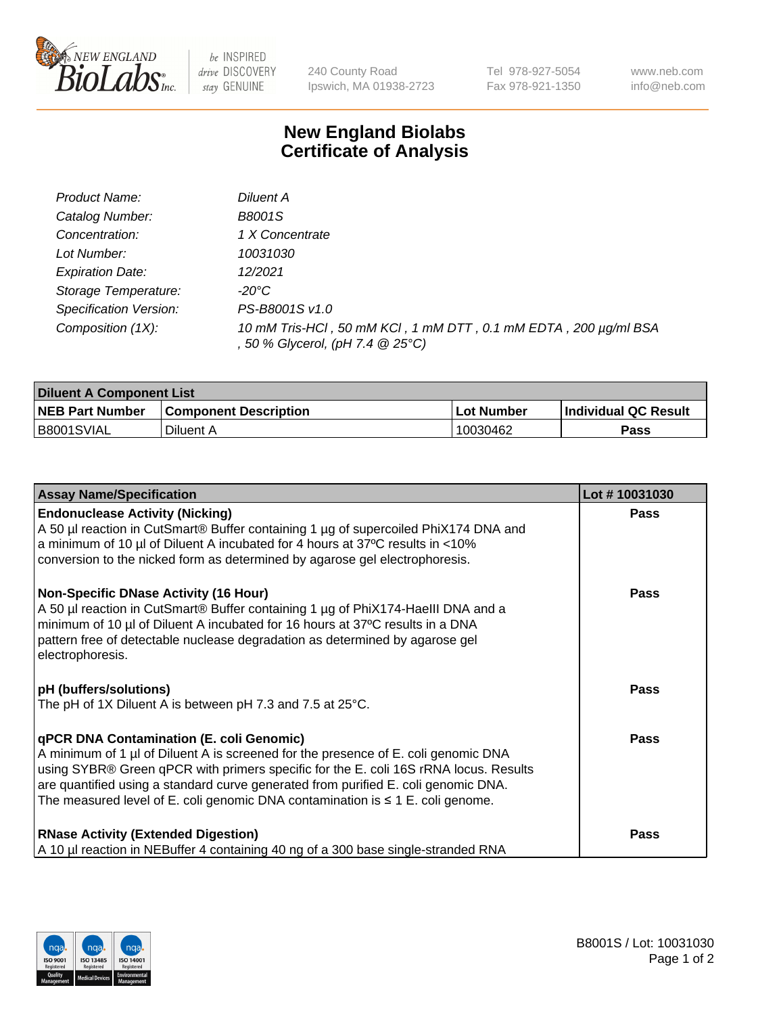

 $be$  INSPIRED drive DISCOVERY stay GENUINE

240 County Road Ipswich, MA 01938-2723 Tel 978-927-5054 Fax 978-921-1350 www.neb.com info@neb.com

## **New England Biolabs Certificate of Analysis**

| Product Name:           | Diluent A                                                                                           |
|-------------------------|-----------------------------------------------------------------------------------------------------|
| Catalog Number:         | <b>B8001S</b>                                                                                       |
| Concentration:          | 1 X Concentrate                                                                                     |
| Lot Number:             | 10031030                                                                                            |
| <b>Expiration Date:</b> | 12/2021                                                                                             |
| Storage Temperature:    | -20°C                                                                                               |
| Specification Version:  | PS-B8001S v1.0                                                                                      |
| Composition (1X):       | 10 mM Tris-HCl, 50 mM KCl, 1 mM DTT, 0.1 mM EDTA, 200 µg/ml BSA<br>, 50 % Glycerol, (pH 7.4 @ 25°C) |

| <b>Diluent A Component List</b> |                              |                   |                      |  |
|---------------------------------|------------------------------|-------------------|----------------------|--|
| <b>NEB Part Number</b>          | <b>Component Description</b> | <b>Lot Number</b> | Individual QC Result |  |
| B8001SVIAL                      | Diluent A                    | 10030462          | Pass                 |  |

| <b>Assay Name/Specification</b>                                                                                                                                                                                                                                                                                                                                                                            | Lot #10031030 |
|------------------------------------------------------------------------------------------------------------------------------------------------------------------------------------------------------------------------------------------------------------------------------------------------------------------------------------------------------------------------------------------------------------|---------------|
| <b>Endonuclease Activity (Nicking)</b><br>A 50 µl reaction in CutSmart® Buffer containing 1 µg of supercoiled PhiX174 DNA and<br>a minimum of 10 µl of Diluent A incubated for 4 hours at 37°C results in <10%<br>conversion to the nicked form as determined by agarose gel electrophoresis.                                                                                                              | <b>Pass</b>   |
| <b>Non-Specific DNase Activity (16 Hour)</b><br>A 50 µl reaction in CutSmart® Buffer containing 1 µg of PhiX174-Haelll DNA and a<br>minimum of 10 µl of Diluent A incubated for 16 hours at 37°C results in a DNA<br>pattern free of detectable nuclease degradation as determined by agarose gel<br>electrophoresis.                                                                                      | <b>Pass</b>   |
| <b>pH</b> (buffers/solutions)<br>The pH of 1X Diluent A is between pH 7.3 and 7.5 at 25°C.                                                                                                                                                                                                                                                                                                                 | <b>Pass</b>   |
| <b>qPCR DNA Contamination (E. coli Genomic)</b><br>A minimum of 1 µl of Diluent A is screened for the presence of E. coli genomic DNA<br>using SYBR® Green qPCR with primers specific for the E. coli 16S rRNA locus. Results<br>are quantified using a standard curve generated from purified E. coli genomic DNA.<br>The measured level of E. coli genomic DNA contamination is $\leq 1$ E. coli genome. | Pass          |
| <b>RNase Activity (Extended Digestion)</b><br>A 10 µl reaction in NEBuffer 4 containing 40 ng of a 300 base single-stranded RNA                                                                                                                                                                                                                                                                            | Pass          |